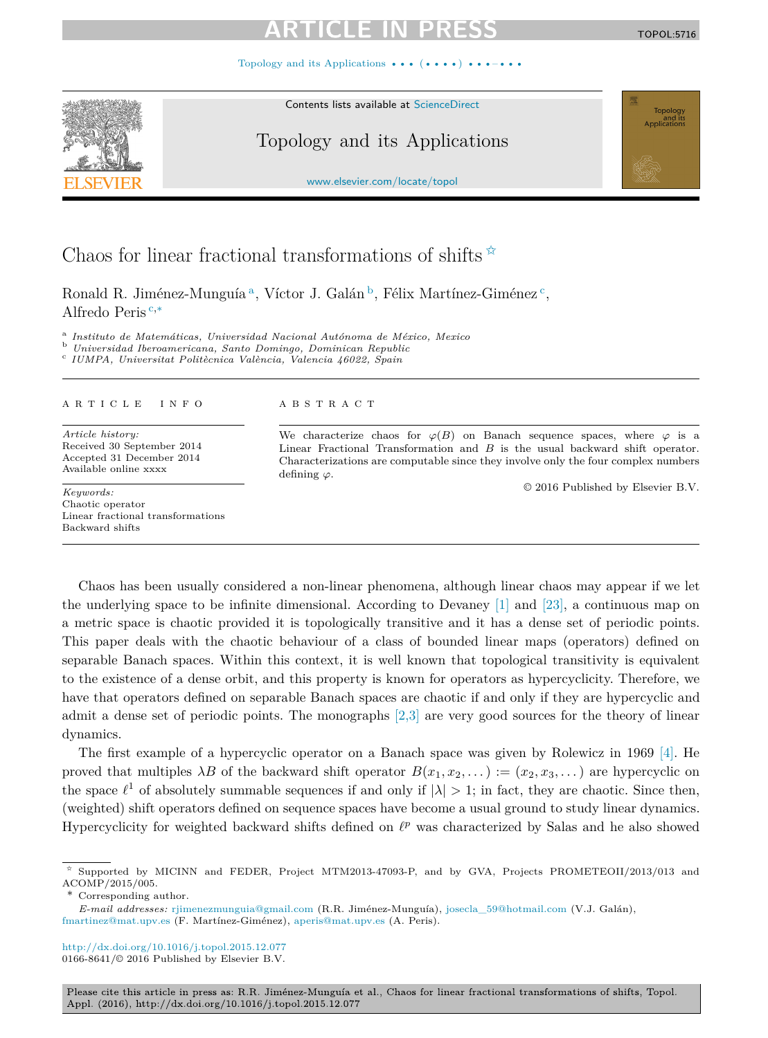Topology and its Applications  $\cdots$  ( $\cdots$ ) ••

Contents lists available at [ScienceDirect](http://www.ScienceDirect.com/)

## Topology and its Applications

[www.elsevier.com/locate/topol](http://www.elsevier.com/locate/topol)

# Chaos for linear fractional transformations of shifts  $\overrightarrow{x}$

Ronald R. Jiménez-Munguía<sup>a</sup>, Víctor J. Galán<sup>b</sup>, Félix Martínez-Giménez<sup>c</sup>, Alfredo Peris <sup>c</sup>*,*<sup>∗</sup>

<sup>a</sup> Instituto de Matemáticas, Universidad Nacional Autónoma de México, Mexico<br><sup>b</sup> Universidad Iberoamericana, Santo Domingo, Dominican Republic<br><sup>c</sup> IUMPA, Universitat Politècnica València, Valencia 46022, Spain

### A R T I C L E I N F O A B S T R A C T

*Article history:* Received 30 September 2014 Accepted 31 December 2014 Available online xxxx

*Keywords:* Chaotic operator Linear fractional transformations Backward shifts

We characterize chaos for  $\varphi(B)$  on Banach sequence spaces, where  $\varphi$  is a Linear Fractional Transformation and *B* is the usual backward shift operator. Characterizations are computable since they involve only the four complex numbers defining *ϕ*.

© 2016 Published by Elsevier B.V.

Chaos has been usually considered a non-linear phenomena, although linear chaos may appear if we let the underlying space to be infinite dimensional. According to Devaney [\[1\]](#page-6-0) and [\[23\],](#page-6-0) a continuous map on a metric space is chaotic provided it is topologically transitive and it has a dense set of periodic points. This paper deals with the chaotic behaviour of a class of bounded linear maps (operators) defined on separable Banach spaces. Within this context, it is well known that topological transitivity is equivalent to the existence of a dense orbit, and this property is known for operators as hypercyclicity. Therefore, we have that operators defined on separable Banach spaces are chaotic if and only if they are hypercyclic and admit a dense set of periodic points. The monographs [\[2,3\]](#page-6-0) are very good sources for the theory of linear dynamics.

The first example of a hypercyclic operator on a Banach space was given by Rolewicz in 1969 [\[4\].](#page-6-0) He proved that multiples  $\lambda B$  of the backward shift operator  $B(x_1, x_2, \dots) := (x_2, x_3, \dots)$  are hypercyclic on the space  $\ell^1$  of absolutely summable sequences if and only if  $|\lambda| > 1$ ; in fact, they are chaotic. Since then, (weighted) shift operators defined on sequence spaces have become a usual ground to study linear dynamics. Hypercyclicity for weighted backward shifts defined on  $\ell^p$  was characterized by Salas and he also showed

\* Corresponding author.

Please cite this article in press as: R.R. Jiménez-Munguía et al., Chaos for linear fractional transformations of shifts, Topol. Appl. (2016), http://dx.doi.org/10.1016/j.topol.2015.12.077





Supported by MICINN and FEDER, Project MTM2013-47093-P, and by GVA, Projects PROMETEOII/2013/013 and ACOMP/2015/005.

*E-mail addresses:* [rjimenezmunguia@gmail.com](mailto:rjimenezmunguia@gmail.com) (R.R. Jiménez-Munguía), [josecla\\_59@hotmail.com](mailto:josecla_59@hotmail.com) (V.J. Galán), [fmartinez@mat.upv.es](mailto:fmartinez@mat.upv.es) (F. Martínez-Giménez), [aperis@mat.upv.es](mailto:aperis@mat.upv.es) (A. Peris).

<http://dx.doi.org/10.1016/j.topol.2015.12.077> 0166-8641/© 2016 Published by Elsevier B.V.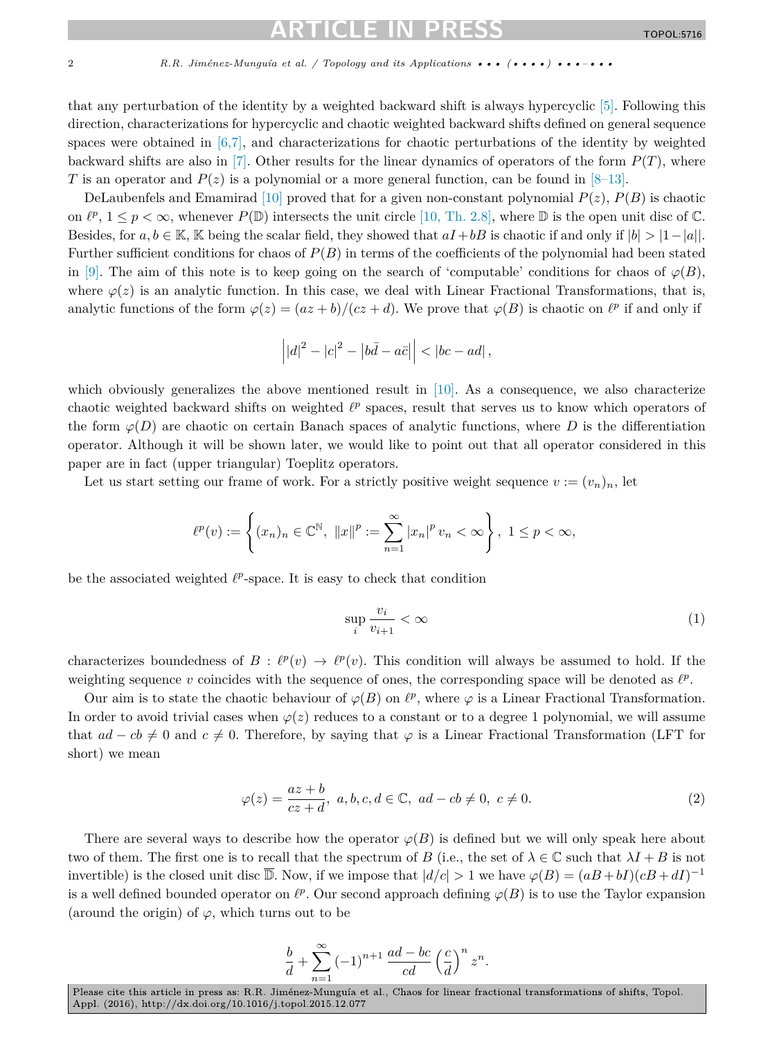<span id="page-1-0"></span>that any perturbation of the identity by a weighted backward shift is always hypercyclic [\[5\].](#page-6-0) Following this direction, characterizations for hypercyclic and chaotic weighted backward shifts defined on general sequence spaces were obtained in [\[6,7\],](#page-6-0) and characterizations for chaotic perturbations of the identity by weighted backward shifts are also in [\[7\].](#page-6-0) Other results for the linear dynamics of operators of the form *P*(*T*), where *T* is an operator and  $P(z)$  is a polynomial or a more general function, can be found in  $[8-13]$ .

DeLaubenfels and Emamirad [\[10\]](#page-6-0) proved that for a given non-constant polynomial  $P(z)$ ,  $P(B)$  is chaotic on  $\ell^p$ ,  $1 \leq p \leq \infty$ , whenever  $P(\mathbb{D})$  intersects the unit circle [10, Th. [2.8\],](#page-6-0) where  $\mathbb{D}$  is the open unit disc of  $\mathbb{C}$ . Besides, for  $a, b \in \mathbb{K}$ , K being the scalar field, they showed that  $aI + bB$  is chaotic if and only if  $|b| > |1 - |a|$ . Further sufficient conditions for chaos of *P*(*B*) in terms of the coefficients of the polynomial had been stated in [\[9\].](#page-6-0) The aim of this note is to keep going on the search of 'computable' conditions for chaos of  $\varphi(B)$ , where  $\varphi(z)$  is an analytic function. In this case, we deal with Linear Fractional Transformations, that is, analytic functions of the form  $\varphi(z) = (az + b)/(cz + d)$ . We prove that  $\varphi(B)$  is chaotic on  $\ell^p$  if and only if

$$
\left| |d|^2 - |c|^2 - |b\bar{d} - a\bar{c}| \right| < |bc - ad| \,,
$$

which obviously generalizes the above mentioned result in [\[10\].](#page-6-0) As a consequence, we also characterize chaotic weighted backward shifts on weighted  $\ell^p$  spaces, result that serves us to know which operators of the form  $\varphi(D)$  are chaotic on certain Banach spaces of analytic functions, where *D* is the differentiation operator. Although it will be shown later, we would like to point out that all operator considered in this paper are in fact (upper triangular) Toeplitz operators.

Let us start setting our frame of work. For a strictly positive weight sequence  $v := (v_n)_n$ , let

$$
\ell^{p}(v) := \left\{ (x_{n})_{n} \in \mathbb{C}^{\mathbb{N}}, \ \|x\|^{p} := \sum_{n=1}^{\infty} |x_{n}|^{p} v_{n} < \infty \right\}, \ 1 \leq p < \infty,
$$

be the associated weighted  $l^p$ -space. It is easy to check that condition

$$
\sup_{i} \frac{v_i}{v_{i+1}} < \infty \tag{1}
$$

characterizes boundedness of  $B : \ell^p(v) \to \ell^p(v)$ . This condition will always be assumed to hold. If the weighting sequence *v* coincides with the sequence of ones, the corresponding space will be denoted as  $l^p$ .

Our aim is to state the chaotic behaviour of  $\varphi(B)$  on  $\ell^p$ , where  $\varphi$  is a Linear Fractional Transformation. In order to avoid trivial cases when  $\varphi(z)$  reduces to a constant or to a degree 1 polynomial, we will assume that  $ad - cb \neq 0$  and  $c \neq 0$ . Therefore, by saying that  $\varphi$  is a Linear Fractional Transformation (LFT for short) we mean

$$
\varphi(z) = \frac{az+b}{cz+d}, \ a, b, c, d \in \mathbb{C}, \ ad - cb \neq 0, \ c \neq 0.
$$
 (2)

There are several ways to describe how the operator  $\varphi(B)$  is defined but we will only speak here about two of them. The first one is to recall that the spectrum of *B* (i.e., the set of  $\lambda \in \mathbb{C}$  such that  $\lambda I + B$  is not invertible) is the closed unit disc  $\mathbb{D}$ . Now, if we impose that  $|d/c| > 1$  we have  $\varphi(B) = (aB + bI)(cB + dI)^{-1}$ is a well defined bounded operator on  $\ell^p$ . Our second approach defining  $\varphi(B)$  is to use the Taylor expansion (around the origin) of  $\varphi$ , which turns out to be

$$
\frac{b}{d} + \sum_{n=1}^{\infty} \left(-1\right)^{n+1} \frac{ad - bc}{cd} \left(\frac{c}{d}\right)^n z^n.
$$

Please cite this article in press as: R.R. Jiménez-Munguía et al., Chaos for linear fractional transformations of shifts, Topol. Appl. (2016), http://dx.doi.org/10.1016/j.topol.2015.12.077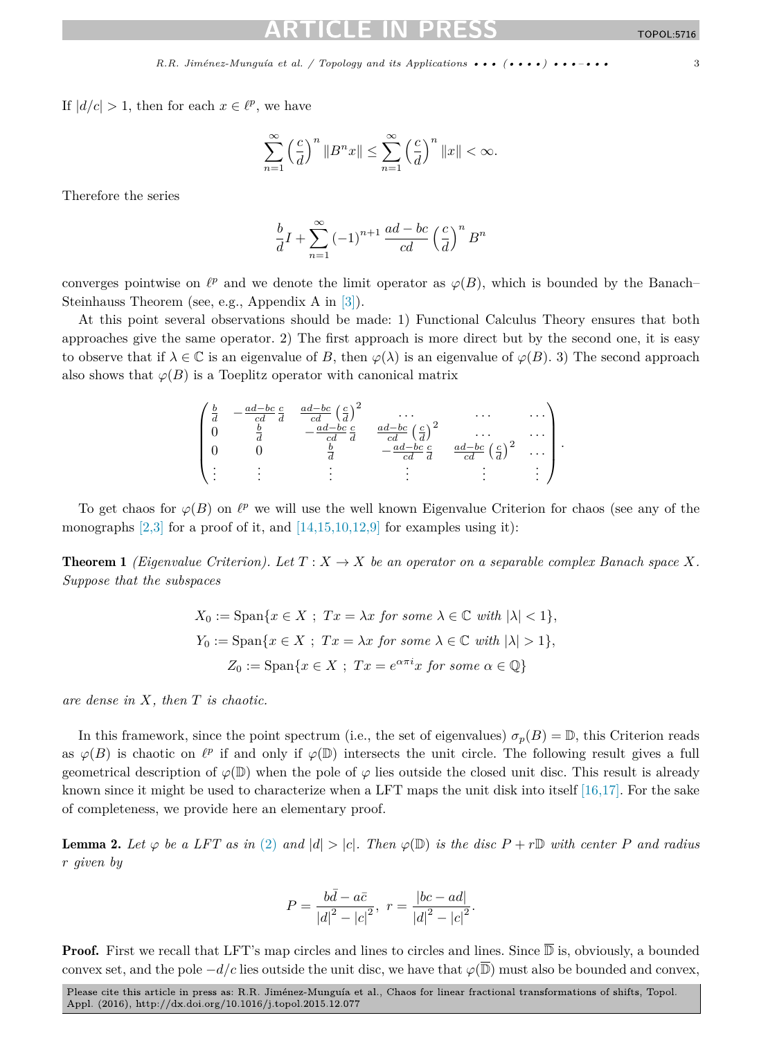<span id="page-2-0"></span>If  $|d/c| > 1$ , then for each  $x \in \ell^p$ , we have

$$
\sum_{n=1}^{\infty} \left(\frac{c}{d}\right)^n \|B^n x\| \le \sum_{n=1}^{\infty} \left(\frac{c}{d}\right)^n \|x\| < \infty.
$$

Therefore the series

$$
\frac{b}{d}I + \sum_{n=1}^{\infty} (-1)^{n+1} \frac{ad - bc}{cd} \left(\frac{c}{d}\right)^n B^n
$$

converges pointwise on  $\ell^p$  and we denote the limit operator as  $\varphi(B)$ , which is bounded by the Banach– Steinhauss Theorem (see, e.g., Appendix A in [\[3\]\)](#page-6-0).

At this point several observations should be made: 1) Functional Calculus Theory ensures that both approaches give the same operator. 2) The first approach is more direct but by the second one, it is easy to observe that if  $\lambda \in \mathbb{C}$  is an eigenvalue of *B*, then  $\varphi(\lambda)$  is an eigenvalue of  $\varphi(B)$ . 3) The second approach also shows that  $\varphi(B)$  is a Toeplitz operator with canonical matrix



To get chaos for  $\varphi(B)$  on  $\ell^p$  we will use the well known Eigenvalue Criterion for chaos (see any of the monographs  $[2,3]$  for a proof of it, and  $[14,15,10,12,9]$  for examples using it):

**Theorem 1** *(Eigenvalue Criterion).* Let  $T: X \to X$  *be an operator on a separable complex Banach space* X. *Suppose that the subspaces*

$$
X_0 := \text{Span}\{x \in X \; ; \; Tx = \lambda x \text{ for some } \lambda \in \mathbb{C} \text{ with } |\lambda| < 1\},
$$
\n
$$
Y_0 := \text{Span}\{x \in X \; ; \; Tx = \lambda x \text{ for some } \lambda \in \mathbb{C} \text{ with } |\lambda| > 1\},
$$
\n
$$
Z_0 := \text{Span}\{x \in X \; ; \; Tx = e^{\alpha \pi i}x \text{ for some } \alpha \in \mathbb{Q}\}
$$

*are dense in X, then T is chaotic.*

In this framework, since the point spectrum (i.e., the set of eigenvalues)  $\sigma_p(B) = \mathbb{D}$ , this Criterion reads as  $\varphi(B)$  is chaotic on  $\ell^p$  if and only if  $\varphi(\mathbb{D})$  intersects the unit circle. The following result gives a full geometrical description of  $\varphi(\mathbb{D})$  when the pole of  $\varphi$  lies outside the closed unit disc. This result is already known since it might be used to characterize when a LFT maps the unit disk into itself [\[16,17\].](#page-6-0) For the sake of completeness, we provide here an elementary proof.

**Lemma 2.** Let  $\varphi$  be a LFT as in [\(2\)](#page-1-0) and  $|d| > |c|$ . Then  $\varphi(\mathbb{D})$  is the disc  $P + r\mathbb{D}$  with center P and radius *r given by*

$$
P = \frac{b\bar{d} - a\bar{c}}{|d|^2 - |c|^2}, \ r = \frac{|bc - ad|}{|d|^2 - |c|^2}.
$$

**Proof.** First we recall that LFT's map circles and lines to circles and lines. Since  $\overline{D}$  is, obviously, a bounded convex set, and the pole  $-d/c$  lies outside the unit disc, we have that  $\varphi(\overline{\mathbb{D}})$  must also be bounded and convex,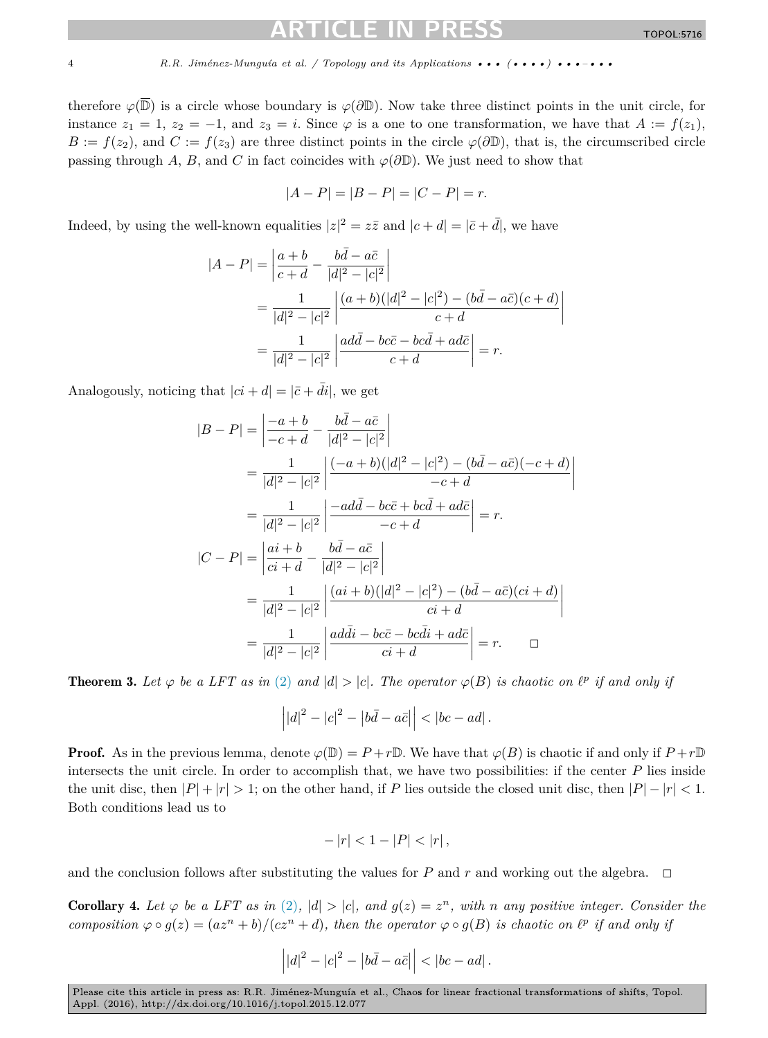<span id="page-3-0"></span>therefore  $\varphi(\overline{\mathbb{D}})$  is a circle whose boundary is  $\varphi(\partial \mathbb{D})$ . Now take three distinct points in the unit circle, for instance  $z_1 = 1$ ,  $z_2 = -1$ , and  $z_3 = i$ . Since  $\varphi$  is a one to one transformation, we have that  $A := f(z_1)$ ,  $B := f(z_2)$ , and  $C := f(z_3)$  are three distinct points in the circle  $\varphi(\partial \mathbb{D})$ , that is, the circumscribed circle passing through *A*, *B*, and *C* in fact coincides with  $\varphi(\partial \mathbb{D})$ . We just need to show that

$$
|A - P| = |B - P| = |C - P| = r.
$$

Indeed, by using the well-known equalities  $|z|^2 = z\overline{z}$  and  $|c+d| = |\overline{c} + \overline{d}|$ , we have

$$
|A - P| = \left| \frac{a+b}{c+d} - \frac{b\bar{d} - a\bar{c}}{|d|^2 - |c|^2} \right|
$$
  
= 
$$
\frac{1}{|d|^2 - |c|^2} \left| \frac{(a+b)(|d|^2 - |c|^2) - (b\bar{d} - a\bar{c})(c+d)}{c+d} \right|
$$
  
= 
$$
\frac{1}{|d|^2 - |c|^2} \left| \frac{ad\bar{d} - bc\bar{c} - bc\bar{d} + ad\bar{c}}{c+d} \right| = r.
$$

Analogously, noticing that  $|ci + d| = |\bar{c} + \bar{di}|$ , we get

$$
|B - P| = \left| \frac{-a + b}{-c + d} - \frac{b\bar{d} - a\bar{c}}{|d|^2 - |c|^2} \right|
$$
  
\n
$$
= \frac{1}{|d|^2 - |c|^2} \left| \frac{(-a + b)(|d|^2 - |c|^2) - (b\bar{d} - a\bar{c})(-c + d)}{-c + d} \right|
$$
  
\n
$$
= \frac{1}{|d|^2 - |c|^2} \left| \frac{-ad\bar{d} - bc\bar{c} + bc\bar{d} + ad\bar{c}}{-c + d} \right| = r.
$$
  
\n
$$
|C - P| = \left| \frac{ai + b}{ci + d} - \frac{b\bar{d} - a\bar{c}}{|d|^2 - |c|^2} \right|
$$
  
\n
$$
= \frac{1}{|d|^2 - |c|^2} \left| \frac{(ai + b)(|d|^2 - |c|^2) - (b\bar{d} - a\bar{c})(ci + d)}{ci + d} \right|
$$
  
\n
$$
= \frac{1}{|d|^2 - |c|^2} \left| \frac{ad\bar{d}i - bc\bar{c} - bc\bar{d}i + ad\bar{c}}{ci + d} \right| = r.
$$

**Theorem 3.** Let  $\varphi$  be a LFT as in [\(2\)](#page-1-0) and  $|d| > |c|$ . The operator  $\varphi(B)$  is chaotic on  $\ell^p$  if and only if

$$
\left| |d|^2 - |c|^2 - |b\bar{d} - a\bar{c}| \right| < |bc - ad|.
$$

**Proof.** As in the previous lemma, denote  $\varphi(\mathbb{D}) = P + r\mathbb{D}$ . We have that  $\varphi(B)$  is chaotic if and only if  $P + r\mathbb{D}$ intersects the unit circle. In order to accomplish that, we have two possibilities: if the center *P* lies inside the unit disc, then  $|P| + |r| > 1$ ; on the other hand, if *P* lies outside the closed unit disc, then  $|P| - |r| < 1$ . Both conditions lead us to

$$
-|r| < 1 - |P| < |r| \,,
$$

and the conclusion follows after substituting the values for  $P$  and  $r$  and working out the algebra.  $\Box$ 

**Corollary 4.** Let  $\varphi$  be a LFT as in [\(2\)](#page-1-0),  $|d| > |c|$ , and  $g(z) = z^n$ , with n any positive integer. Consider the composition  $\varphi \circ g(z) = (az^n + b)/(cz^n + d)$ , then the operator  $\varphi \circ g(B)$  is chaotic on  $\ell^p$  if and only if

$$
\left| |d|^2 - |c|^2 - |b\bar{d} - a\bar{c}| \right| < |bc - ad|.
$$

Please cite this article in press as: R.R. Jiménez-Munguía et al., Chaos for linear fractional transformations of shifts, Topol. Appl. (2016), http://dx.doi.org/10.1016/j.topol.2015.12.077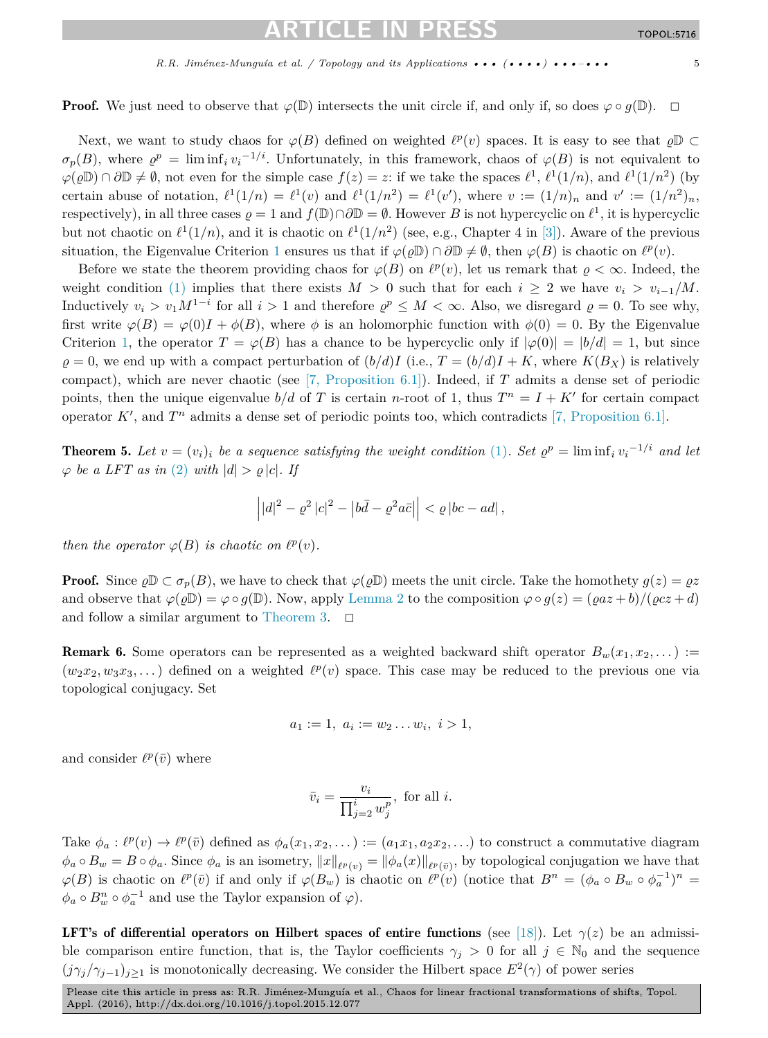<span id="page-4-0"></span>**Proof.** We just need to observe that  $\varphi(\mathbb{D})$  intersects the unit circle if, and only if, so does  $\varphi \circ q(\mathbb{D})$ .  $\Box$ 

Next, we want to study chaos for  $\varphi(B)$  defined on weighted  $\ell^p(v)$  spaces. It is easy to see that  $\rho\mathbb{D} \subset$  $\sigma_p(B)$ , where  $\rho^p = \liminf_i v_i^{-1/i}$ . Unfortunately, in this framework, chaos of  $\varphi(B)$  is not equivalent to  $\varphi(\rho\mathbb{D}) \cap \partial \mathbb{D} \neq \emptyset$ , not even for the simple case  $f(z) = z$ : if we take the spaces  $\ell^1$ ,  $\ell^1(1/n)$ , and  $\ell^1(1/n^2)$  (by certain abuse of notation,  $\ell^1(1/n) = \ell^1(v)$  and  $\ell^1(1/n^2) = \ell^1(v')$ , where  $v := (1/n)_n$  and  $v' := (1/n^2)_n$ , respectively), in all three cases  $\rho = 1$  and  $f(\mathbb{D}) \cap \partial \mathbb{D} = \emptyset$ . However *B* is not hypercyclic on  $\ell^1$ , it is hypercyclic but not chaotic on  $\ell^1(1/n)$ , and it is chaotic on  $\ell^1(1/n^2)$  (see, e.g., Chapter 4 in [\[3\]\)](#page-6-0). Aware of the previous situation, the Eigenvalue Criterion [1](#page-2-0) ensures us that if  $\varphi(\rho \mathbb{D}) \cap \partial \mathbb{D} \neq \emptyset$ , then  $\varphi(B)$  is chaotic on  $\ell^p(v)$ .

Before we state the theorem providing chaos for  $\varphi(B)$  on  $\ell^p(v)$ , let us remark that  $\rho < \infty$ . Indeed, the weight condition [\(1\)](#page-1-0) implies that there exists  $M > 0$  such that for each  $i \geq 2$  we have  $v_i > v_{i-1}/M$ . Inductively  $v_i > v_1 M^{1-i}$  for all  $i > 1$  and therefore  $\rho^p \leq M < \infty$ . Also, we disregard  $\rho = 0$ . To see why, first write  $\varphi(B) = \varphi(0)I + \varphi(B)$ , where  $\phi$  is an holomorphic function with  $\phi(0) = 0$ . By the Eigenvalue Criterion [1,](#page-2-0) the operator  $T = \varphi(B)$  has a chance to be hypercyclic only if  $|\varphi(0)| = |b/d| = 1$ , but since  $\rho = 0$ , we end up with a compact perturbation of  $(b/d)I$  (i.e.,  $T = (b/d)I + K$ , where  $K(B_X)$  is relatively compact), which are never chaotic (see [7, [Proposition](#page-6-0) 6.1]). Indeed, if *T* admits a dense set of periodic points, then the unique eigenvalue  $b/d$  of *T* is certain *n*-root of 1, thus  $T^n = I + K'$  for certain compact operator  $K'$ , and  $T^n$  admits a dense set of periodic points too, which contradicts [7, [Proposition](#page-6-0) 6.1].

**Theorem 5.** Let  $v = (v_i)_i$  be a sequence satisfying the weight condition [\(1\)](#page-1-0). Set  $\varrho^p = \liminf_i v_i^{-1/i}$  and let  $\varphi$  *be a LFT as in* [\(2\)](#page-1-0) *with*  $|d| > \varrho |c|$ *. If* 

$$
\left| |d|^2 - \varrho^2 |c|^2 - |b\bar{d} - \varrho^2 a\bar{c}| \right| < \varrho |bc - ad| \,,
$$

*then the operator*  $\varphi(B)$  *is chaotic on*  $\ell^p(v)$ *.* 

**Proof.** Since  $\varrho \mathbb{D} \subset \sigma_p(B)$ , we have to check that  $\varphi(\varrho \mathbb{D})$  meets the unit circle. Take the homothety  $g(z) = \varrho z$ and observe that  $\varphi(\varrho \mathbb{D}) = \varphi \circ g(\mathbb{D})$ . Now, apply [Lemma 2](#page-2-0) to the composition  $\varphi \circ g(z) = (\varrho a z + b) / (\varrho c z + d)$ and follow a similar argument to [Theorem 3.](#page-3-0)  $\Box$ 

**Remark 6.** Some operators can be represented as a weighted backward shift operator  $B_w(x_1, x_2, \dots)$  :=  $(w_2x_2, w_3x_3,...)$  defined on a weighted  $\ell^p(v)$  space. This case may be reduced to the previous one via topological conjugacy. Set

$$
a_1 := 1, \ a_i := w_2 \dots w_i, \ i > 1,
$$

and consider  $\ell^p(\bar{v})$  where

$$
\bar{v}_i = \frac{v_i}{\prod_{j=2}^i w_j^p}, \text{ for all } i.
$$

Take  $\phi_a : \ell^p(v) \to \ell^p(\bar{v})$  defined as  $\phi_a(x_1, x_2, \dots) := (a_1x_1, a_2x_2, \dots)$  to construct a commutative diagram  $\phi_a \circ B_w = B \circ \phi_a$ . Since  $\phi_a$  is an isometry,  $||x||_{\ell^p(v)} = ||\phi_a(x)||_{\ell^p(\bar{v})}$ , by topological conjugation we have that  $\varphi(B)$  is chaotic on  $\ell^p(\bar{v})$  if and only if  $\varphi(B_w)$  is chaotic on  $\ell^p(v)$  (notice that  $B^n = (\phi_a \circ B_w \circ \phi_a^{-1})^n =$  $\phi_a \circ B_w^n \circ \phi_a^{-1}$  and use the Taylor expansion of  $\varphi$ ).

LFT's of differential operators on Hilbert spaces of entire functions (see [\[18\]\)](#page-6-0). Let  $\gamma(z)$  be an admissible comparison entire function, that is, the Taylor coefficients  $\gamma_j > 0$  for all  $j \in \mathbb{N}_0$  and the sequence  $(j\gamma_j/\gamma_{j-1})_{j\geq 1}$  is monotonically decreasing. We consider the Hilbert space  $E^2(\gamma)$  of power series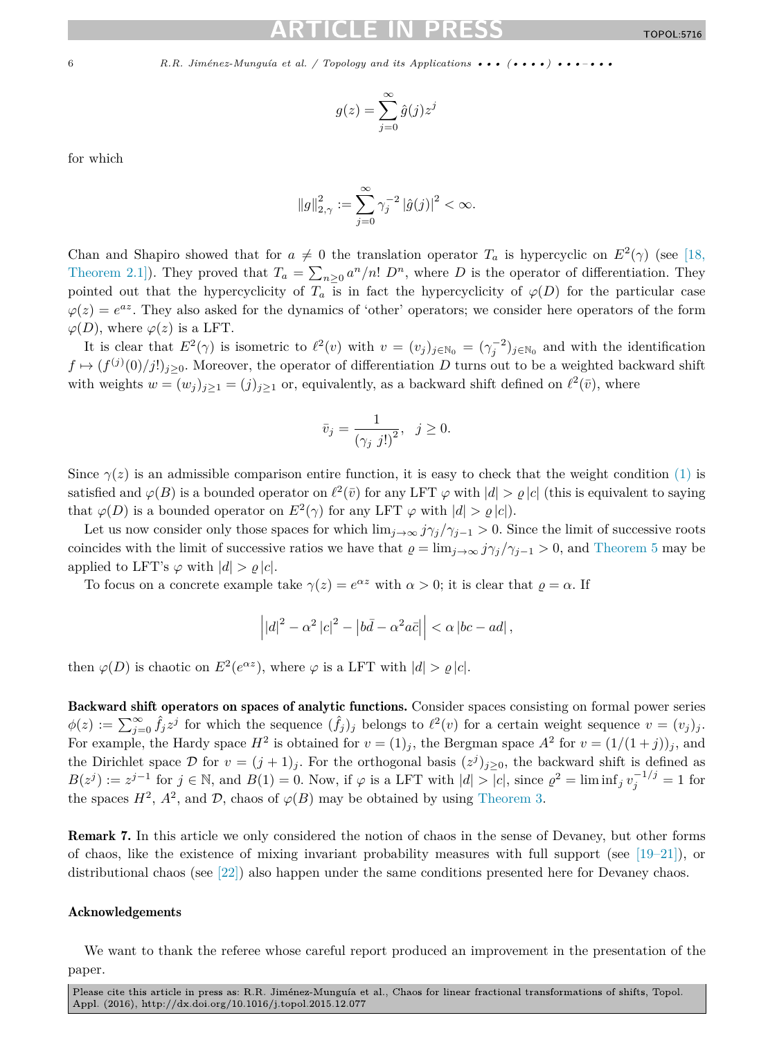$$
g(z) = \sum_{j=0}^{\infty} \hat{g}(j) z^j
$$

for which

$$
\|g\|_{2,\gamma}^2:=\sum_{j=0}^\infty \gamma_j^{-2}\left|\hat{g}(j)\right|^2<\infty.
$$

Chan and Shapiro showed that for  $a \neq 0$  the translation operator  $T_a$  is hypercyclic on  $E^2(\gamma)$  (see [\[18,](#page-6-0) [Theorem](#page-6-0) 2.1]). They proved that  $T_a = \sum_{n\geq 0} a^n/n! D^n$ , where *D* is the operator of differentiation. They pointed out that the hypercyclicity of  $T_a$  is in fact the hypercyclicity of  $\varphi(D)$  for the particular case  $\varphi(z) = e^{az}$ . They also asked for the dynamics of 'other' operators; we consider here operators of the form  $\varphi(D)$ , where  $\varphi(z)$  is a LFT.

It is clear that  $E^2(\gamma)$  is isometric to  $\ell^2(v)$  with  $v = (v_j)_{j \in \mathbb{N}_0} = (\gamma_j^{-2})_{j \in \mathbb{N}_0}$  and with the identification  $f \mapsto (f^{(j)}(0)/j!)_{j\geq 0}$ . Moreover, the operator of differentiation *D* turns out to be a weighted backward shift with weights  $w = (w_j)_{j \geq 1} = (j)_{j \geq 1}$  or, equivalently, as a backward shift defined on  $\ell^2(\bar{v})$ , where

$$
\bar{v}_j = \frac{1}{\left(\gamma_j \ j! \right)^2}, \ \ j \ge 0.
$$

Since  $\gamma(z)$  is an admissible comparison entire function, it is easy to check that the weight condition [\(1\)](#page-1-0) is satisfied and  $\varphi(B)$  is a bounded operator on  $\ell^2(\bar{v})$  for any LFT  $\varphi$  with  $|d| > \varphi|c|$  (this is equivalent to saying that  $\varphi(D)$  is a bounded operator on  $E^2(\gamma)$  for any LFT  $\varphi$  with  $|d| > \rho |c|$ .

Let us now consider only those spaces for which  $\lim_{j\to\infty} j\gamma_j/\gamma_{j-1} > 0$ . Since the limit of successive roots coincides with the limit of successive ratios we have that  $\varrho = \lim_{i \to \infty} j\gamma_i/\gamma_{i-1} > 0$ , and [Theorem 5](#page-4-0) may be applied to LFT's  $\varphi$  with  $|d| > \rho |c|$ .

To focus on a concrete example take  $\gamma(z) = e^{\alpha z}$  with  $\alpha > 0$ ; it is clear that  $\rho = \alpha$ . If

$$
\left| \left| d \right|^2 - \alpha^2 \left| c \right|^2 - \left| b\bar{d} - \alpha^2 a\bar{c} \right| \right| < \alpha \left| bc - ad \right|,
$$

then  $\varphi(D)$  is chaotic on  $E^2(e^{\alpha z})$ , where  $\varphi$  is a LFT with  $|d| > \varrho |c|$ .

Backward shift operators on spaces of analytic functions. Consider spaces consisting on formal power series  $\phi(z) := \sum_{j=0}^{\infty} \hat{f}_j z^j$  for which the sequence  $(\hat{f}_j)_j$  belongs to  $\ell^2(v)$  for a certain weight sequence  $v = (v_j)_j$ . For example, the Hardy space  $H^2$  is obtained for  $v = (1)_j$ , the Bergman space  $A^2$  for  $v = (1/(1+j))_j$ , and the Dirichlet space  $\mathcal{D}$  for  $v = (j + 1)_{j}$ . For the orthogonal basis  $(z^{j})_{j\geq0}$ , the backward shift is defined as  $B(z^j) := z^{j-1}$  for  $j \in \mathbb{N}$ , and  $B(1) = 0$ . Now, if  $\varphi$  is a LFT with  $|d| > |c|$ , since  $\varrho^2 = \liminf_j v_j^{-1/j} = 1$  for the spaces  $H^2$ ,  $A^2$ , and  $D$ , chaos of  $\varphi(B)$  may be obtained by using [Theorem 3.](#page-3-0)

Remark 7. In this article we only considered the notion of chaos in the sense of Devaney, but other forms of chaos, like the existence of mixing invariant probability measures with full support (see  $[19-21]$ ), or distributional chaos (see [\[22\]\)](#page-6-0) also happen under the same conditions presented here for Devaney chaos.

### Acknowledgements

We want to thank the referee whose careful report produced an improvement in the presentation of the paper.

Please cite this article in press as: R.R. Jiménez-Munguía et al., Chaos for linear fractional transformations of shifts, Topol. Appl. (2016), http://dx.doi.org/10.1016/j.topol.2015.12.077